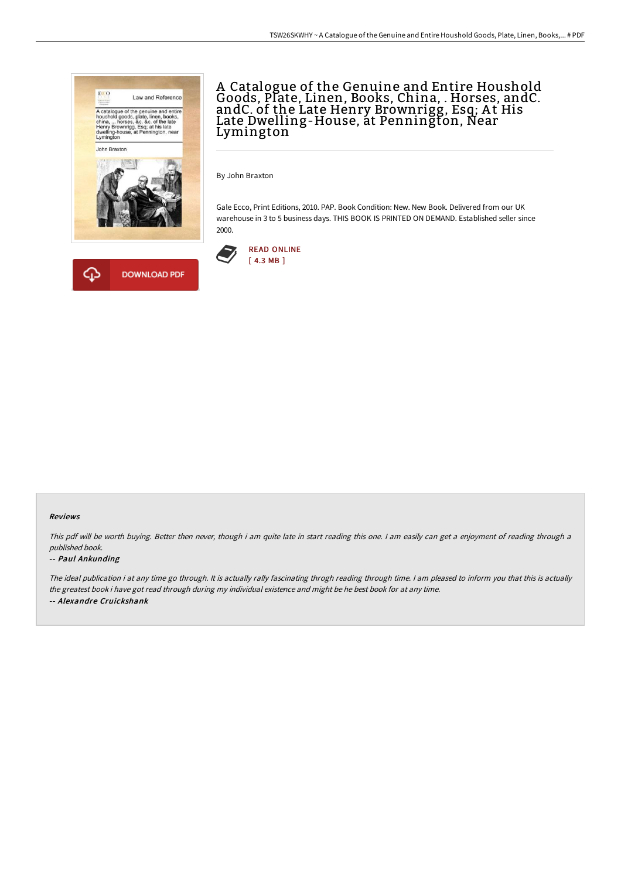



# A Catalogue of the Genuine and Entire Houshold Goods, Plate, Linen, Books, China, . Horses, andC. andC. of the Late Henry Brownrigg, Esq; At His Late Dwelling-House, at Pennington, Near Lymington

By John Braxton

Gale Ecco, Print Editions, 2010. PAP. Book Condition: New. New Book. Delivered from our UK warehouse in 3 to 5 business days. THIS BOOK IS PRINTED ON DEMAND. Established seller since 2000.



### Reviews

This pdf will be worth buying. Better then never, though i am quite late in start reading this one. <sup>I</sup> am easily can get <sup>a</sup> enjoyment of reading through <sup>a</sup> published book.

### -- Paul Ankunding

The ideal publication i at any time go through. It is actually rally fascinating throgh reading through time. <sup>I</sup> am pleased to inform you that this is actually the greatest book i have got read through during my individual existence and might be he best book for at any time. -- Alexandre Cruickshank